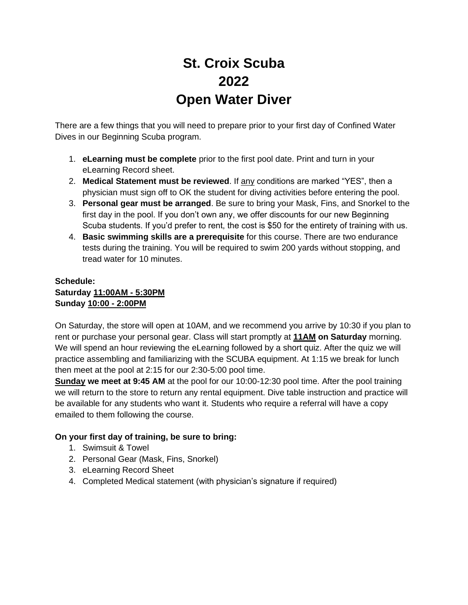## **St. Croix Scuba 2022 Open Water Diver**

There are a few things that you will need to prepare prior to your first day of Confined Water Dives in our Beginning Scuba program.

- 1. **eLearning must be complete** prior to the first pool date. Print and turn in your eLearning Record sheet.
- 2. **Medical Statement must be reviewed**. If any conditions are marked "YES", then a physician must sign off to OK the student for diving activities before entering the pool.
- 3. **Personal gear must be arranged**. Be sure to bring your Mask, Fins, and Snorkel to the first day in the pool. If you don't own any, we offer discounts for our new Beginning Scuba students. If you'd prefer to rent, the cost is \$50 for the entirety of training with us.
- 4. **Basic swimming skills are a prerequisite** for this course. There are two endurance tests during the training. You will be required to swim 200 yards without stopping, and tread water for 10 minutes.

### **Schedule: Saturday 11:00AM - 5:30PM Sunday 10:00 - 2:00PM**

On Saturday, the store will open at 10AM, and we recommend you arrive by 10:30 if you plan to rent or purchase your personal gear. Class will start promptly at **11AM on Saturday** morning. We will spend an hour reviewing the eLearning followed by a short quiz. After the quiz we will practice assembling and familiarizing with the SCUBA equipment. At 1:15 we break for lunch then meet at the pool at 2:15 for our 2:30-5:00 pool time.

**Sunday we meet at 9:45 AM** at the pool for our 10:00-12:30 pool time. After the pool training we will return to the store to return any rental equipment. Dive table instruction and practice will be available for any students who want it. Students who require a referral will have a copy emailed to them following the course.

### **On your first day of training, be sure to bring:**

- 1. Swimsuit & Towel
- 2. Personal Gear (Mask, Fins, Snorkel)
- 3. eLearning Record Sheet
- 4. Completed Medical statement (with physician's signature if required)